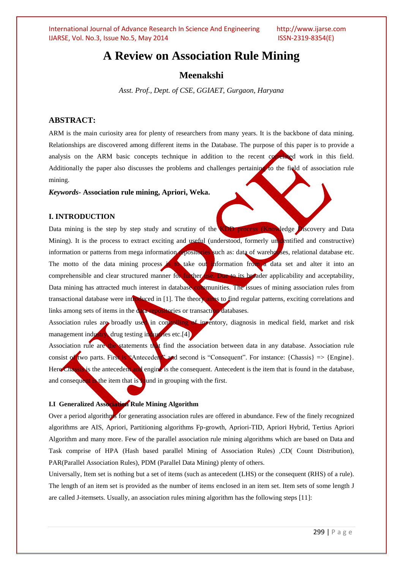# **A Review on Association Rule Mining**

# **Meenakshi**

*Asst. Prof., Dept. of CSE, GGIAET, Gurgaon, Haryana*

# **ABSTRACT:**

ARM is the main curiosity area for plenty of researchers from many years. It is the backbone of data mining. Relationships are discovered among different items in the Database. The purpose of this paper is to provide a analysis on the ARM basic concepts technique in addition to the recent correlated work in this field. Additionally the paper also discusses the problems and challenges pertaining to the field of association rule mining.

#### *Keywords-* **Association rule mining, Apriori, Weka.**

#### **I. INTRODUCTION**

Data mining is the step by step study and scrutiny of the KDD process (Knowledge Discovery and Data Mining). It is the process to extract exciting and useful (understood, formerly unidentified and constructive) information or patterns from mega information repositories such as: data of warehouses, relational database etc. The motto of the data mining process is to take out information from a data set and alter it into an comprehensible and clear structured manner for further use. Due to its broader applicability and acceptability, Data mining has attracted much interest in database communities. The issues of mining association rules from transactional database were introduced in [1]. The theory aims to find regular patterns, exciting correlations and links among sets of items in the data repositories or transaction databases.

Association rules are broadly used in controlling of inventory, diagnosis in medical field, market and risk management industry, drug testing industries etc.[4]

Association rule are the statements that find the association between data in any database. Association rule consist of two parts. First is "Antecedent" and second is "Consequent". For instance: {Chassis}  $\Rightarrow$  {Engine}. Here Chassis is the antecedent and engine is the consequent. Antecedent is the item that is found in the database, and consequent is the item that is found in grouping with the first.

### **I.I Generalized Association Rule Mining Algorithm**

Over a period algorithms for generating association rules are offered in abundance. Few of the finely recognized algorithms are AIS, Apriori, Partitioning algorithms Fp-growth, Apriori-TID, Apriori Hybrid, Tertius Apriori Algorithm and many more. Few of the parallel association rule mining algorithms which are based on Data and Task comprise of HPA (Hash based parallel Mining of Association Rules) ,CD( Count Distribution), PAR(Parallel Association Rules), PDM (Parallel Data Mining) plenty of others.

Universally, Item set is nothing but a set of items (such as antecedent (LHS) or the consequent (RHS) of a rule). The length of an item set is provided as the number of items enclosed in an item set. Item sets of some length J are called J-itemsets. Usually, an association rules mining algorithm has the following steps [11]: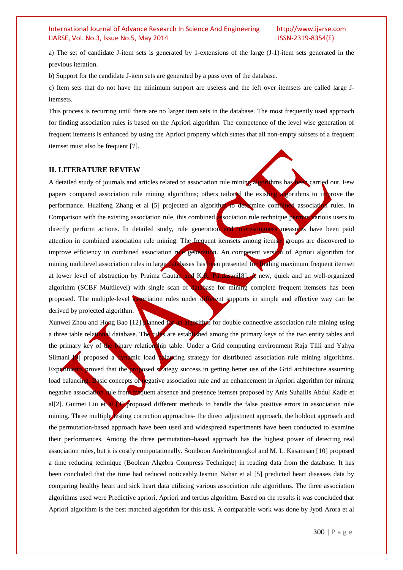a) The set of candidate J-item sets is generated by 1-extensions of the large (J-1)-item sets generated in the previous iteration.

b) Support for the candidate J-item sets are generated by a pass over of the database.

c) Item sets that do not have the minimum support are useless and the left over itemsets are called large Jitemsets.

This process is recurring until there are no larger item sets in the database. The most frequently used approach for finding association rules is based on the Apriori algorithm. The competence of the level wise generation of frequent itemsets is enhanced by using the Apriori property which states that all non-empty subsets of a frequent itemset must also be frequent [7].

### **II. LITERATURE REVIEW**

A detailed study of journals and articles related to association rule mining algorithms has been carried out. Few papers compared association rule mining algorithms; others tailored the existing algorithms to improve the performance. Huaifeng Zhang et al [5] projected an algorithm to determine combined association rules. In Comparison with the existing association rule, this combined association rule technique permits various users to directly perform actions. In detailed study, rule generation and interestingness measures have been paid attention in combined association rule mining. The frequent itemsets among itemset groups are discovered to improve efficiency in combined association rule generation. An competent version of Apriori algorithm for mining multilevel association rules in large databases has been presented for finding maximum frequent itemset at lower level of abstraction by Praima Gautan and K.R. Pardasani[8]. A new, quick and an well-organized algorithm (SCBF Multilevel) with single scan of database for mining complete frequent itemsets has been proposed. The multiple-level association rules under different supports in simple and effective way can be derived by projected algorithm.

Xunwei Zhou and Hong Bao  $[12]$  planned for an algorithm for double connective association rule mining using a three table relational database. The *rules* are established among the primary keys of the two entity tables and the primary key of the binary relationship table. Under a Grid computing environment Raja Tlili and Yahya Slimani <sup>[9]</sup> proposed a dynamic load **balancing** strategy for distributed association rule mining algorithms. Experiments proved that the proposed strategy success in getting better use of the Grid architecture assuming load balancing. Basic concepts of negative association rule and an enhancement in Apriori algorithm for mining negative association rule from frequent absence and presence itemset proposed by Anis Suhailis Abdul Kadir et al[2]. Guimei Liu et al [3] proposed different methods to handle the false positive errors in association rule mining. Three multiple esting correction approaches- the direct adjustment approach, the holdout approach and the permutation-based approach have been used and widespread experiments have been conducted to examine their performances. Among the three permutation–based approach has the highest power of detecting real association rules, but it is costly computationally. Somboon Anekritmongkol and M. L. Kasamsan [10] proposed a time reducing technique (Boolean Algebra Compress Technique) in reading data from the database. It has been concluded that the time had reduced noticeably.Jesmin Nahar et al [5] predicted heart diseases data by comparing healthy heart and sick heart data utilizing various association rule algorithms. The three association algorithms used were Predictive apriori, Apriori and tertius algorithm. Based on the results it was concluded that Apriori algorithm is the best matched algorithm for this task. A comparable work was done by Jyoti Arora et al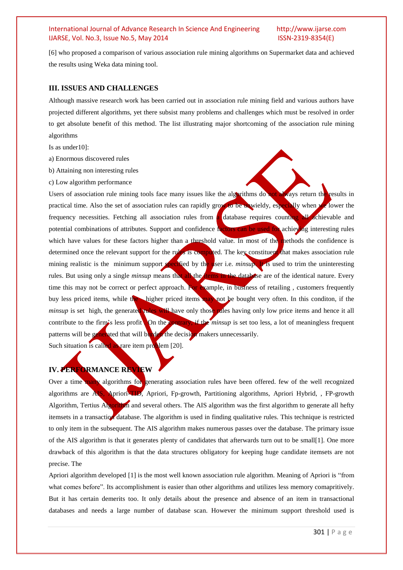[6] who proposed a comparison of various association rule mining algorithms on Supermarket data and achieved the results using Weka data mining tool.

#### **III. ISSUES AND CHALLENGES**

Although massive research work has been carried out in association rule mining field and various authors have projected different algorithms, yet there subsist many problems and challenges which must be resolved in order to get absolute benefit of this method. The list illustrating major shortcoming of the association rule mining algorithms

Is as under10]:

- a) Enormous discovered rules
- b) Attaining non interesting rules
- c) Low algorithm performance

Users of association rule mining tools face many issues like the algorithms do not always return the results in practical time. Also the set of association rules can rapidly grow to be unwieldy, especially when we lower the frequency necessities. Fetching all association rules from a database requires counting all achievable and potential combinations of attributes. Support and confidence factors can be used for achieving interesting rules which have values for these factors higher than a threshold value. In most of the methods the confidence is determined once the relevant support for the rules is computed. The key constituent that makes association rule mining realistic is the minimum support specified by the user i.e. *minsup*. It is used to trim the uninteresting rules. But using only a single *minsup* means that all the **the database** are of the identical nature. Every time this may not be correct or perfect approach. For example, in business of retailing, customers frequently buy less priced items, while the higher priced items may not be bought very often. In this conditon, if the *minsup* is set high, the generated **rules will have only those rules** having only low price items and hence it all contribute to the firm's less profit On the *contrary*, if the *minsup* is set too less, a lot of meaningless frequent patterns will be generated that will burden the decision makers unnecessarily.

Such situation is called as rare item problem [20].

# **IV. PERFORMANCE REVIEW**

Over a time many algorithms for generating association rules have been offered. few of the well recognized algorithms are AIS, Apriori-TID, Apriori, Fp-growth, Partitioning algorithms, Apriori Hybrid, , FP-growth Algorithm, Tertius Algorithm and several others. The AIS algorithm was the first algorithm to generate all hefty itemsets in a transaction database. The algorithm is used in finding qualitative rules. This technique is restricted to only item in the subsequent. The AIS algorithm makes numerous passes over the database. The primary issue of the AIS algorithm is that it generates plenty of candidates that afterwards turn out to be small[1]. One more drawback of this algorithm is that the data structures obligatory for keeping huge candidate itemsets are not precise. The

Apriori algorithm developed [1] is the most well known association rule algorithm. Meaning of Apriori is "from what comes before". Its accomplishment is easier than other algorithms and utilizes less memory comapritively. But it has certain demerits too. It only details about the presence and absence of an item in transactional databases and needs a large number of database scan. However the minimum support threshold used is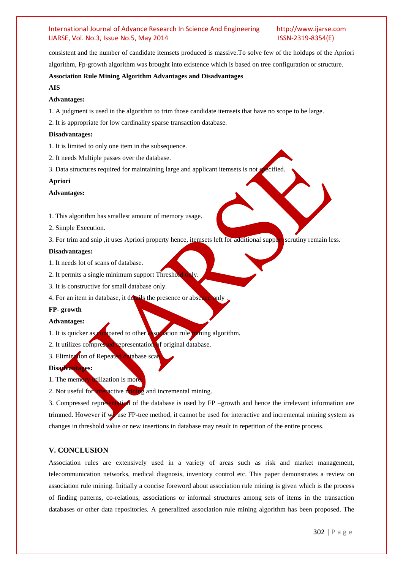consistent and the number of candidate itemsets produced is massive.To solve few of the holdups of the Apriori algorithm, Fp-growth algorithm was brought into existence which is based on tree configuration or structure.

#### **Association Rule Mining Algorithm Advantages and Disadvantages**

#### **AIS**

### **Advantages:**

1. A judgment is used in the algorithm to trim those candidate itemsets that have no scope to be large.

2. It is appropriate for low cardinality sparse transaction database.

#### **Disadvantages:**

- 1. It is limited to only one item in the subsequence.
- 2. It needs Multiple passes over the database.
- 3. Data structures required for maintaining large and applicant itemsets is not specified.

#### **Apriori**

#### **Advantages:**

- 1. This algorithm has smallest amount of memory usage.
- 2. Simple Execution.
- 3. For trim and snip , it uses Apriori property hence, itemsets left for additional support scrutiny remain less.

#### **Disadvantages:**

- 1. It needs lot of scans of database.
- 2. It permits a single minimum support Threshol
- 3. It is constructive for small database only.
- 4. For an item in database, it details the presence or absence only

#### **FP- growth**

#### **Advantages:**

- 1. It is quicker as compared to other association rule mining algorithm.
- 2. It utilizes compressed representation of original database.
- 3. Elimination of Repeated database sca

### **Disadvantages:**

1. The memory utilization is more

2. Not useful for interactive mining and incremental mining.

3. Compressed representation of the database is used by FP –growth and hence the irrelevant information are trimmed. However if  $w$  use FP-tree method, it cannot be used for interactive and incremental mining system as changes in threshold value or new insertions in database may result in repetition of the entire process.

# **V. CONCLUSION**

Association rules are extensively used in a variety of areas such as risk and market management, telecommunication networks, medical diagnosis, inventory control etc. This paper demonstrates a review on association rule mining. Initially a concise foreword about association rule mining is given which is the process of finding patterns, co-relations, associations or informal structures among sets of items in the transaction databases or other data repositories. A generalized association rule mining algorithm has been proposed. The